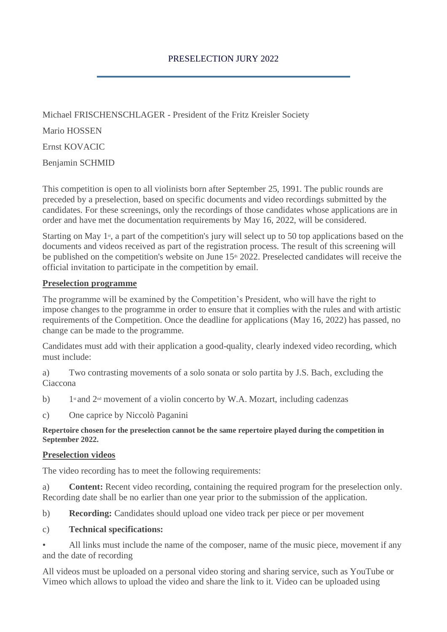Michael FRISCHENSCHLAGER - President of the Fritz Kreisler Society Mario HOSSEN Ernst KOVACIC Benjamin SCHMID

This competition is open to all violinists born after September 25, 1991. The public rounds are preceded by a preselection, based on specific documents and video recordings submitted by the candidates. For these screenings, only the recordings of those candidates whose applications are in order and have met the documentation requirements by May 16, 2022, will be considered.

Starting on May 1<sup>st</sup>, a part of the competition's jury will select up to 50 top applications based on the documents and videos received as part of the registration process. The result of this screening will be published on the competition's website on June 15<sup>th</sup> 2022. Preselected candidates will receive the official invitation to participate in the competition by email.

## **Preselection programme**

The programme will be examined by the Competition's President, who will have the right to impose changes to the programme in order to ensure that it complies with the rules and with artistic requirements of the Competition. Once the deadline for applications (May 16, 2022) has passed, no change can be made to the programme.

Candidates must add with their application a good-quality, clearly indexed video recording, which must include:

a) Two contrasting movements of a solo sonata or solo partita by J.S. Bach, excluding the Ciaccona

- $h)$ 1st and 2<sup>nd</sup> movement of a violin concerto by W.A. Mozart, including cadenzas
- c) One caprice by Niccolò Paganini

**Repertoire chosen for the preselection cannot be the same repertoire played during the competition in September 2022.**

## **Preselection videos**

The video recording has to meet the following requirements:

a) **Content:** Recent video recording, containing the required program for the preselection only. Recording date shall be no earlier than one year prior to the submission of the application.

b) **Recording:** Candidates should upload one video track per piece or per movement

## c) **Technical specifications:**

• All links must include the name of the composer, name of the music piece, movement if any and the date of recording

All videos must be uploaded on a personal video storing and sharing service, such as YouTube or Vimeo which allows to upload the video and share the link to it. Video can be uploaded using